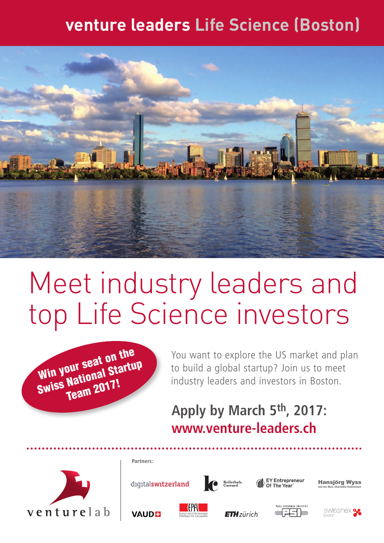# **venture leaders Life Science (Boston)**



# Meet industry leaders and top Life Science investors



You want to explore the US market and plan to build a global startup? Join us to meet industry leaders and investors in Boston.

# **Apply by March 5th , 2017: www[.venture-leaders.ch]( http://venture-leaders.ch/)**



digitalswitzerland

**Partners:**

**VAUDE** 







Hansjörg Wyss and the Wyss Charitable Endowment